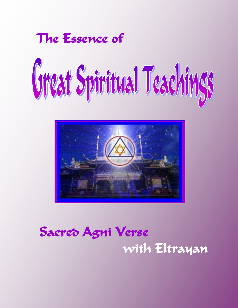

Great Spiritual Teachings



# **Sacred Agni Verse with Eltrayan**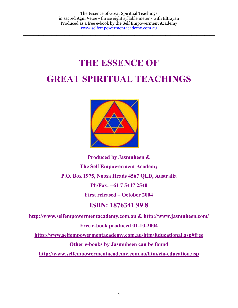# **THE ESSENCE OF GREAT SPIRITUAL TEACHINGS**



**Produced by Jasmuheen & The Self Empowerment Academy P.O. Box 1975, Noosa Heads 4567 QLD, Australia Ph/Fax: +61 7 5447 2540 First released – October 2004 ISBN: 1876341 99 8 http://www.selfempowermentacademy.com.au & http://www.jasmuheen.com/ Free e-book produced 01-10-2004 http://www.selfempowermentacademy.com.au/htm/Educational.asp#free Other e-books by Jasmuheen can be found** 

**http://www.selfempowermentacademy.com.au/htm/cia-education.asp**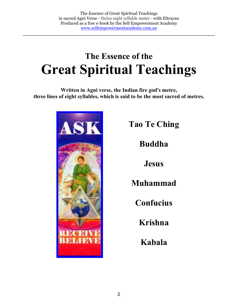# **The Essence of the Great Spiritual Teachings**

**Written in Agni verse, the Indian fire god's metre, three lines of eight syllables, which is said to be the most sacred of metres.** 



**Tao Te Ching** 

**Buddha** 

**Jesus** 

**Muhammad** 

**Confucius** 

**Krishna** 

**Kabala**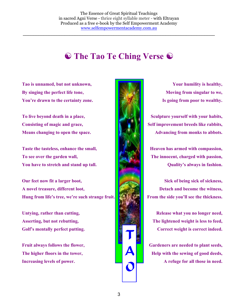## ☯ **The Tao Te Ching Verse** ☯

**Tao is unnamed, but not unknown, By singing the perfect life tone, You're drawn to the certainty zone.** 

**To live beyond death in a place, Consisting of magic and grace, Means changing to open the space.** 

**Taste the tasteless, enhance the small, To see over the garden wall, You have to stretch and stand up tall.** 

**Our feet now fit a larger boot, A novel treasure, different loot, Hung from life's tree, we're such strange fruit.** 

**Untying, rather than cutting, Asserting, but not rebutting, Golf's mentally perfect putting.** 

**Fruit always follows the flower, The higher floors in the tower, Increasing levels of power.** 



**Your humility is healthy, Moving from singular to we, Is going from poor to wealthy.** 

**Sculpture yourself with your habits, Self improvement breeds like rabbits, Advancing from monks to abbots.** 

**Heaven has armed with compassion, The innocent, charged with passion, Quality's always in fashion.** 

**Sick of being sick of sickness, Detach and become the witness, From the side you'll see the thickness.** 

**Release what you no longer need, The lightened weight is less to feed, Correct weight is correct indeed.** 

**Gardeners are needed to plant seeds, Help with the sewing of good deeds, A refuge for all those in need.**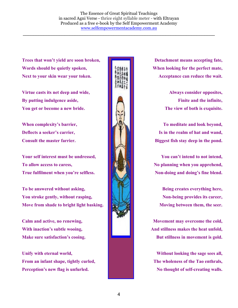\_\_\_\_\_\_\_\_\_\_\_\_\_\_\_\_\_\_\_\_\_\_\_\_\_\_\_\_\_\_\_\_\_\_\_\_\_\_\_\_\_\_\_\_\_\_\_\_\_\_\_\_\_\_\_\_\_\_\_\_\_\_\_\_\_\_\_\_\_\_\_\_\_\_

**Trees that won't yield are soon broken, Words should be quietly spoken, Next to your skin wear your token.** 

**Virtue casts its net deep and wide, By putting indulgence aside, You get or become a new bride.** 

**When complexity's barrier, Deflects a seeker's carrier, Consult the master farrier.** 

**Your self interest must be undressed, To allow access to caress, True fulfilment when you're selfless.** 

**To be answered without asking, You stroke gently, without rasping, Move from shade to bright light basking.** 

**Calm and active, no renewing, With inaction's subtle wooing, Make sure satisfaction's cooing.** 

**Unify with eternal world, From an infant shape, tightly curled, Perception's new flag is unfurled.** 



**Detachment means accepting fate, When looking for the perfect mate, Acceptance can reduce the wait.** 

> **Always consider opposites, Finite and the infinite, The view of both is exquisite.**

**To meditate and look beyond, Is in the realm of hat and wand, Biggest fish stay deep in the pond.** 

**You can't intend to not intend, No planning when you apprehend, Non-doing and doing's fine blend.** 

**Being creates everything here, Non-being provides its career, Moving between them, the seer.** 

**Movement may overcome the cold, And stillness makes the heat unfold, But stillness in movement is gold.** 

**Without looking the sage sees all, The wholeness of the Tao enthrals, No thought of self-creating walls.**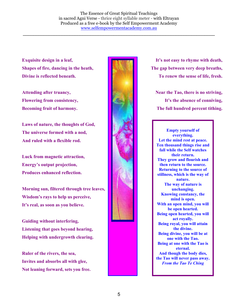\_\_\_\_\_\_\_\_\_\_\_\_\_\_\_\_\_\_\_\_\_\_\_\_\_\_\_\_\_\_\_\_\_\_\_\_\_\_\_\_\_\_\_\_\_\_\_\_\_\_\_\_\_\_\_\_\_\_\_\_\_\_\_\_\_\_\_\_\_\_\_\_\_\_

**Exquisite design in a leaf, Shapes of fire, dancing in the heath, Divine is reflected beneath.** 

**Attending after truancy, Flowering from consistency, Becoming fruit of harmony.** 

**Laws of nature, the thoughts of God, The universe formed with a nod, And ruled with a flexible rod.** 

**Luck from magnetic attraction, Energy's output projection, Produces enhanced reflection.** 

**Morning sun, filtered through tree leaves, Wisdom's rays to help us perceive, It's real, as soon as you believe.** 

**Guiding without interfering, Listening that goes beyond hearing, Helping with undergrowth clearing.** 

**Ruler of the rivers, the sea, Invites and absorbs all with glee, Not leaning forward, sets you free.** 



**It's not easy to rhyme with death, The gap between very deep breaths, To renew the sense of life, fresh.** 

**Near the Tao, there is no striving, It's the absence of conniving, The full hundred percent tithing.** 

 **Empty yourself of everything. Let the mind rest at peace. Ten thousand things rise and fall while the Self watches their return. They grow and flourish and then return to the source. Returning to the source of stillness, which is the way of nature. The way of nature is unchanging. Knowing constancy, the mind is open. With an open mind, you will be open hearted. Being open hearted, you will act royally. Being royal, you will attain the divine. Being divine, you will be at one with the Tao. Being at one with the Tao is eternal. And though the body dies, the Tao will never pass away.** *From the Tao Te Ching*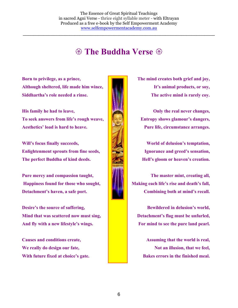### **<sup><sup>8</sup> The Buddha Verse**  $\otimes$ </sup>

**Born to privilege, as a prince, Although sheltered, life made him wince, Siddhartha's role needed a rinse.** 

**His family he had to leave, To seek answers from life's rough weave, Aesthetics' load is hard to heave.** 

**Will's focus finally succeeds, Enlightenment sprouts from fine seeds, The perfect Buddha of kind deeds.** 

**Pure mercy and compassion taught, Happiness found for those who sought, Detachment's haven, a safe port.** 

**Desire's the source of suffering, Mind that was scattered now must sing, And fly with a new lifestyle's wings.** 

**Causes and conditions create, We really do design our fate, With future fixed at choice's gate.** 



**The mind creates both grief and joy, It's animal products, or soy, The active mind is rarely coy.** 

**Only the real never changes, Entropy shows glamour's dangers, Pure life, circumstance arranges.** 

**World of delusion's temptation, Ignorance and greed's sensation, Hell's gloom or heaven's creation.** 

**The master mint, creating all, Making each life's rise and death's fall, Combining both at mind's recall.** 

**Bewildered in delusion's world, Detachment's flag must be unfurled, For mind to see the pure land pearl.** 

**Assuming that the world is real, Not an illusion, that we feel, Bakes errors in the finished meal.**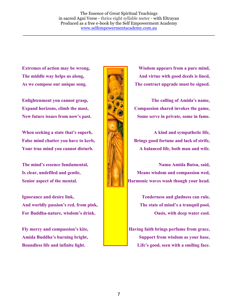**Extremes of action may be wrong, The middle way helps us along, As we compose our unique song.** 

**Enlightenment you cannot grasp, Expand horizons, climb the mast, New future issues from now's past.** 

**When seeking a state that's superb, False mind chatter you have to kerb, Your true mind you cannot disturb.** 

**The mind's essence fundamental, Is clear, undefiled and gentle, Senior aspect of the mental.** 

**Ignorance and desire link, And worldly passion's red, from pink, For Buddha-nature, wisdom's drink.** 

**Fly mercy and compassion's kite, Amida Buddha's burning bright, Boundless life and infinite light.** 



**Wisdom appears from a pure mind, And virtue with good deeds is lined, The contract upgrade must be signed.** 

**The calling of Amida's name, Compassion shared invokes the game, Some serve in private, some in fame.** 

**A kind and sympathetic life, Brings good fortune and lack of strife, A balanced life, both man and wife.** 

**Namu Amida Butsu, said, Means wisdom and compassion wed, Harmonic waves wash though your head.** 

> **Tenderness and gladness can rule, The state of mind's a tranquil pool, Oasis, with deep water cool.**

**Having faith brings perfume from grace, Support from wisdom as your base, Life's good, seen with a smiling face.**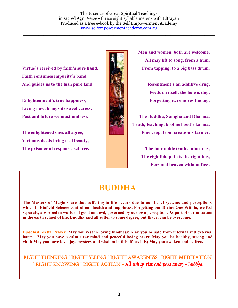**Virtue's received by faith's sure hand, Faith consumes impurity's band, And guides us to the lush pure land.** 

**Enlightenment's true happiness, Living now, brings its sweet caress, Past and future we must undress.** 

**The enlightened ones all agree, Virtuous deeds bring real beauty, The prisoner of response, set free.** 



**Men and women, both are welcome, All may lift to song, from a hum, From tapping, to a big bass drum.** 

> **Resentment's an additive drug, Feeds on itself, the hole is dug, Forgetting it, removes the tug.**

**The Buddha, Samgha and Dharma, Truth, teaching, brotherhood's karma, Fine crop, from creation's farmer.** 

> **The four noble truths inform us, The eightfold path is the right bus, Personal heaven without fuss.**

## **BUDDHA**

**The Masters of Magic share that suffering in life occurs due to our belief systems and perceptions, which in Biofield Science control our health and happiness. Forgetting our Divine One Within, we feel separate, absorbed in worlds of good and evil, governed by our own perception. As part of our initiation in the earth school of life, Buddha said all suffer to some degree, but that it can be overcome.** 

**Buddhist Metta Prayer. May you rest in loving kindness; May you be safe from internal and external harm ; May you have a calm clear mind and peaceful loving heart; May you be healthy, strong and vital; May you have love, joy, mystery and wisdom in this life as it is; May you awaken and be free.** 

**RIGHT THINKING ~ RIGHT SEEING ~ RIGHT AWARENESS ~ RIGHT MEDITATION ~ RIGHT KNOWING ~ RIGHT ACTION - All things rise and pass away - Buddha**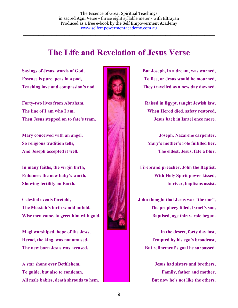### **The Life and Revelation of Jesus Verse**

**Sayings of Jesus, words of God, Essence is pure, peas in a pod, Teaching love and compassion's nod.** 

**Forty-two lives from Abraham, The line of I am who I am, Then Jesus stepped on to fate's tram.** 

**Mary conceived with an angel, So religious tradition tells, And Joseph accepted it well.** 

**In many faiths, the virgin birth, Enhances the new baby's worth, Showing fertility on Earth.** 

**Celestial events foretold, The Messiah's birth would unfold, Wise men came, to greet him with gold.** 

**Magi worshiped, hope of the Jews, Herod, the king, was not amused, The new born Jesus was accused.** 

**A star shone over Bethlehem, To guide, but also to condemn, All male babies, death shrouds to hem.** 



**But Joseph, in a dream, was warned, To flee, or Jesus would be mourned, They travelled as a new day dawned.** 

**Raised in Egypt, taught Jewish law, When Herod died, safety restored, Jesus back in Israel once more.** 

**Joseph, Nazarene carpenter, Mary's mother's role fulfilled her, The eldest, Jesus, fate a blur.** 

**Firebrand preacher, John the Baptist, With Holy Spirit power kissed, In river, baptisms assist.** 

**John thought that Jesus was "the one", The prophecy filled, Israel's son, Baptised, age thirty, role begun.** 

**In the desert, forty day fast, Tempted by his ego's broadcast, But refinement's goal he surpassed.** 

**Jesus had sisters and brothers, Family, father and mother, But now he's not like the others.**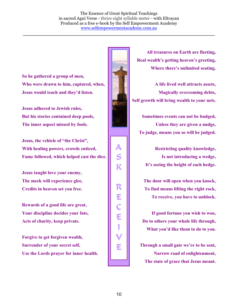**So he gathered a group of men, Who were drawn to him, captured, when, Jesus would teach and they'd listen.** 

**Jesus adhered to Jewish rules, But his stories contained deep pools, The inner aspect missed by fools.** 

**Jesus, the vehicle of "the Christ", With healing powers, crowds enticed, Fame followed, which helped cast the dice.** 

**Jesus taught love your enemy, The meek will experience glee, Credits in heaven set you free.** 

**Rewards of a good life are great, Your discipline decides your fate, Acts of charity, keep private.** 

**Forgive to get forgiven wealth, Surrender of your secret self, Use the Lords prayer for inner health.** 



**A S K R E C E I V E**

**All treasures on Earth are fleeting, Real wealth's getting heaven's greeting, Where there's unlimited seating.** 

**A life lived well attracts assets, Magically overcoming debts, Self growth will bring wealth to your nets.** 

**Sometimes events can not be budged, Unless they are given a nudge, To judge, means you so will be judged.** 

**Restricting quality knowledge, Is not introducing a wedge, It's seeing the height of each hedge.** 

**The door will open when you knock, To find means lifting the right rock, To receive, you have to unblock.** 

**If good fortune you wish to woo, Do to others your whole life through, What you'd like them to do to you.** 

**Through a small gate we're to be sent, Narrow road of enlightenment, The state of grace that Jesus meant.**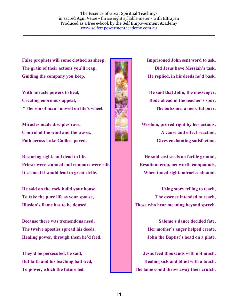\_\_\_\_\_\_\_\_\_\_\_\_\_\_\_\_\_\_\_\_\_\_\_\_\_\_\_\_\_\_\_\_\_\_\_\_\_\_\_\_\_\_\_\_\_\_\_\_\_\_\_\_\_\_\_\_\_\_\_\_\_\_\_\_\_\_\_\_\_\_\_\_\_\_

**False prophets will come clothed as sheep, The grain of their actions you'll reap, Guiding the company you keep.** 

**With miracle powers to heal, Creating enormous appeal, "The son of man" moved on life's wheel.** 

**Miracles made disciples rave, Control of the wind and the waves, Path across Lake Galilee, paved.** 

**Restoring sight, and dead to life, Priests were stunned and rumours were rife, It seemed it would lead to great strife.** 

**He said on the rock build your house, To take the pure life as your spouse, Illusion's flame has to be doused.** 

**Because there was tremendous need, The twelve apostles spread his deeds, Healing power, through them he'd feed.** 

**They'd be persecuted, he said, But faith and his teaching had wed, To power, which the future led.** 



**Imprisoned John sent word to ask, Did Jesus have Messiah's task, He replied, in his deeds he'd bask.** 

**He said that John, the messenger, Rode ahead of the teacher's spur, The outcome, a merciful purr.** 

**Wisdom, proved right by her actions, A cause and effect reaction, Gives enchanting satisfaction.** 

**He said cast seeds on fertile ground, Resultant crop, net worth compounds, When tuned right, miracles abound.** 

**Using story telling to teach, The essence intended to reach, Those who hear meaning beyond speech.** 

> **Salome's dance decided fate, Her mother's anger helped create, John the Baptist's head on a plate.**

**Jesus feed thousands with not much, Healing sick and blind with a touch, The lame could throw away their crutch.**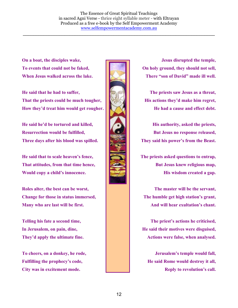\_\_\_\_\_\_\_\_\_\_\_\_\_\_\_\_\_\_\_\_\_\_\_\_\_\_\_\_\_\_\_\_\_\_\_\_\_\_\_\_\_\_\_\_\_\_\_\_\_\_\_\_\_\_\_\_\_\_\_\_\_\_\_\_\_\_\_\_\_\_\_\_\_\_

**On a boat, the disciples wake, To events that could not be faked, When Jesus walked across the lake.** 

**He said that he had to suffer, That the priests could be much tougher, How they'd treat him would get rougher.** 

**He said he'd be tortured and killed, Resurrection would be fulfilled, Three days after his blood was spilled.** 

**He said that to scale heaven's fence, That attitudes, from that time hence, Would copy a child's innocence.** 

**Roles alter, the best can be worst, Change for those in status immersed, Many who are last will be first.** 

**Telling his fate a second time, In Jerusalem, on pain, dine, They'd apply the ultimate fine.** 

**To cheers, on a donkey, he rode, Fulfilling the prophecy's code, City was in excitement mode.** 



**Jesus disrupted the temple, On holy ground, they should not sell, There "son of David" made ill well.** 

**The priests saw Jesus as a threat, His actions they'd make him regret, He had a cause and effect debt.** 

**His authority, asked the priests, But Jesus no response released, They said his power's from the Beast.** 

**The priests asked questions to entrap, But Jesus knew religious map, His wisdom created a gap.** 

**The master will be the servant, The humble get high station's grant, And will hear exultation's chant.** 

**The priest's actions he criticised, He said their motives were disguised, Actions were false, when analysed.** 

**Jerusalem's temple would fall, He said Rome would destroy it all, Reply to revolution's call.**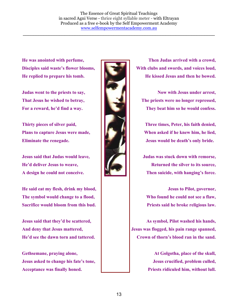\_\_\_\_\_\_\_\_\_\_\_\_\_\_\_\_\_\_\_\_\_\_\_\_\_\_\_\_\_\_\_\_\_\_\_\_\_\_\_\_\_\_\_\_\_\_\_\_\_\_\_\_\_\_\_\_\_\_\_\_\_\_\_\_\_\_\_\_\_\_\_\_\_\_

**He was anointed with perfume, Disciples said waste's flower blooms, He replied to prepare his tomb.** 

**Judas went to the priests to say, That Jesus he wished to betray, For a reward, he'd find a way.** 

**Thirty pieces of silver paid, Plans to capture Jesus were made, Eliminate the renegade.** 

**Jesus said that Judas would leave, He'd deliver Jesus to weave, A design he could not conceive.** 

**He said eat my flesh, drink my blood, The symbol would change to a flood, Sacrifice would bloom from this bud.** 

**Jesus said that they'd be scattered, And deny that Jesus mattered, He'd see the dawn torn and tattered.** 

**Gethsemane, praying alone, Jesus asked to change his fate's tone, Acceptance was finally honed.** 



**Then Judas arrived with a crowd, With clubs and swords, and voices loud, He kissed Jesus and then he bowed.** 

**Now with Jesus under arrest, The priests were no longer repressed, They beat him so he would confess.** 

**Three times, Peter, his faith denied, When asked if he knew him, he lied, Jesus would be death's only bride.** 

**Judas was stuck down with remorse, Returned the silver to its source, Then suicide, with hanging's force.** 

**Jesus to Pilot, governor, Who found he could not see a flaw, Priests said he broke religious law.** 

**As symbol, Pilot washed his hands, Jesus was flogged, his pain range spanned, Crown of thorn's blood ran in the sand.** 

> **At Golgotha, place of the skull, Jesus crucified, problem culled, Priests ridiculed him, without lull.**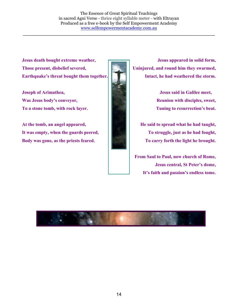\_\_\_\_\_\_\_\_\_\_\_\_\_\_\_\_\_\_\_\_\_\_\_\_\_\_\_\_\_\_\_\_\_\_\_\_\_\_\_\_\_\_\_\_\_\_\_\_\_\_\_\_\_\_\_\_\_\_\_\_\_\_\_\_\_\_\_\_\_\_\_\_\_\_

**Jesus death bought extreme weather, Those present, disbelief severed, Earthquake's threat bought them together.** 

**Joseph of Arimathea, Was Jesus body's conveyor, To a stone tomb, with rock layer.** 

**At the tomb, an angel appeared, It was empty, when the guards peered, Body was gone, as the priests feared.** 



**Jesus appeared in solid form, Uninjured, and round him they swarmed, Intact, he had weathered the storm.** 

> **Jesus said in Galilee meet, Reunion with disciples, sweet, Tuning to resurrection's beat.**

**He said to spread what he had taught, To struggle, just as he had fought, To carry forth the light he brought.** 

**From Saul to Paul, now church of Rome, Jesus central, St Peter's dome, It's faith and passion's endless tome.** 

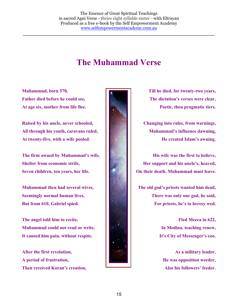## **The Muhammad Verse**

**Muhammad, born 570, Father died before he could see, At age six, mother from life flee.** 

**Raised by his uncle, never schooled, All through his youth, caravans ruled, At twenty-five, with a wife pooled.** 

**The firm owned by Muhammad's wife, Shelter from economic strife, Seven children, ten years, her life.** 

**Muhammad then had several wives, Seemingly normal human lives, But from 610, Gabriel spied.** 

**The angel told him to recite, Muhammad could not read or write, It caused him pain, without respite.** 

**After the first revelation, A period of frustration, Then received Koran's creation,** 



**Till he died, for twenty-two years, The dictation's verses were clear, Poetic, then pragmatic tiers.** 

**Changing into rules, from warnings, Muhammad's influence dawning, He created Islam's awning.** 

**His wife was the first to believe, Her support and his uncle's, heaved, On their death, Muhammad must leave.** 

**The old god's priests wanted him dead, There was only one god, he said, For priests, he's to heresy wed.** 

> **Fled Mecca in 622, In Medina, teaching renew, It's City of Messenger's coo.**

**As a military leader, He was opposition weeder, Also his followers' feeder.**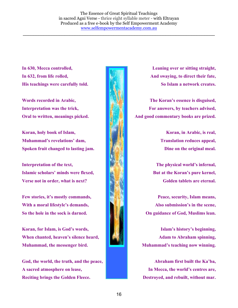**In 630, Mecca controlled, In 632, from life rolled, His teachings were carefully told.** 

**Words recorded in Arabic, Interpretation was the trick, Oral to written, meanings picked.** 

**Koran, holy book of Islam, Muhammad's revelations' dam, Spoken fruit changed to lasting jam.** 

**Interpretation of the text, Islamic scholars' minds were flexed, Verse not in order, what is next?** 

**Few stories, it's mostly commands, With a moral lifestyle's demands, So the hole in the sock is darned.** 

**Koran, for Islam, is God's words, When chanted, heaven's silence heard, Muhammad, the messenger bird.** 

**God, the world, the truth, and the peace, A sacred atmosphere on lease, Reciting brings the Golden Fleece.** 



**Leaning over or sitting straight, And swaying, to direct their fate, So Islam a network creates.** 

**The Koran's essence is disguised, For answers, by teachers advised, And good commentary books are prized.** 

> **Koran, in Arabic, is real, Translation reduces appeal, Dine on the original meal.**

**The physical world's infernal, But at the Koran's pure kernel, Golden tablets are eternal.** 

**Peace, security, Islam means, Also submission's in the scene, On guidance of God, Muslims lean.** 

**Islam's history's beginning, Adam to Abraham spinning, Muhammad's teaching now winning.** 

**Abraham first built the Ka'ba, In Mecca, the world's centres are, Destroyed, and rebuilt, without mar.**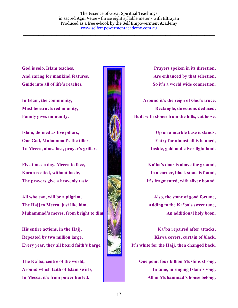**God is solo, Islam teaches, And caring for mankind features, Guide into all of life's reaches.** 

**In Islam, the community, Must be structured in unity, Family gives immunity.** 

**Islam, defined as five pillars, One God, Muhammad's the tiller, To Mecca, alms, fast, prayer's griller.** 

**Five times a day, Mecca to face, Koran recited, without haste, The prayers give a heavenly taste.** 

**All who can, will be a pilgrim, The Hajj to Mecca, just like him, Muhammad's moves, from bright to dim.** 

**His entire actions, in the Hajj, Repeated by two million large, Every year, they all board faith's barge.** 

**The Ka'ba, centre of the world, Around which faith of Islam swirls, In Mecca, it's from power hurled.** 



**Prayers spoken in its direction, Are enhanced by that selection, So it's a world wide connection.** 

**Around it's the reign of God's truce, Rectangle, directions deduced, Built with stones from the hills, cut loose.** 

> **Up on a marble base it stands, Entry for almost all is banned, Inside, gold and silver light land.**

**Ka'ba's door is above the ground, In a corner, black stone is found, It's fragmented, with silver bound.** 

**Also, the stone of good fortune, Adding to the Ka'ba's sweet tune, An additional holy boon.** 

**Ka'ba repaired after attacks, Kiswa covers, curtain of black, It's white for the Hajj, then changed back.** 

**One point four billion Muslims strong, In tune, in singing Islam's song, All in Muhammad's house belong.**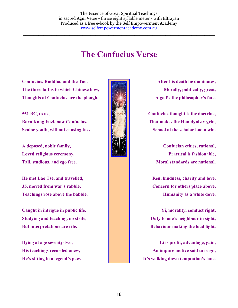## **The Confucius Verse**

**Confucius, Buddha, and the Tao, The three faiths to which Chinese bow, Thoughts of Confucius are the plough.** 

#### **551 BC, to us,**

**Born Kong Fuzi, now Confucius, Senior youth, without causing fuss.** 

**A deposed, noble family, Loved religious ceremony, Tall, studious, and ego free.** 

**He met Lao Tse, and travelled, 35, moved from war's rabble, Teachings rose above the babble.** 

**Caught in intrigue in public life, Studying and teaching, no strife, But interpretations are rife.** 

**Dying at age seventy-two, His teachings recorded anew, He's sitting in a legend's pew.** 



**After his death he dominates, Morally, politically, great, A god's the philosopher's fate.** 

**Confucius thought is the doctrine, That makes the Han dynisty grin, School of the scholar had a win.** 

> **Confucian ethics, rational, Practical is fashionable, Moral standards are national.**

**Ren, kindness, charity and love, Concern for others place above, Humanity as a white dove.** 

**Yi, morality, conduct right, Duty to one's neighbour in sight, Behaviour making the load light.** 

**Li is profit, advantage, gain, An impure motive said to reign, It's walking down temptation's lane.**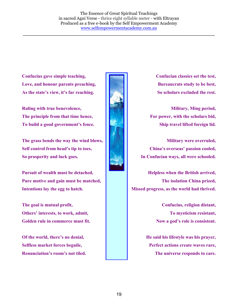**Confucius gave simple teaching, Love, and honour parents preaching, As the state's view, it's far reaching.** 

**Ruling with true benevolence, The principle from that time hence, To build a good government's fence.** 

**The grass bends the way the wind blows, Self control from head's tip to toes, So prosperity and luck goes.** 

**Pursuit of wealth must be detached, Pure motive and gain must be matched, Intentions lay the egg to hatch.** 

**The goal is mutual profit, Others' interests, to work, admit, Golden rule in commerce must fit.** 

**Of the world, there's no denial, Selfless market forces beguile, Renunciation's room's not tiled.** 



**Confucian classics set the test, Bureaucrats study to be best, So scholars excluded the rest.** 

**Military, Ming period, For power, with the scholars bid, Ship travel lifted foreign lid.** 

**Military were overruled, China's overseas' passion cooled, In Confucian ways, all were schooled.** 

**Helpless when the British arrived, The isolation China prized, Missed progress, as the world had thrived.** 

> **Confucius, religion distant, To mysticism resistant, Now a god's role is consistent.**

**He said his lifestyle was his prayer, Perfect actions create waves rare, The universe responds to care.**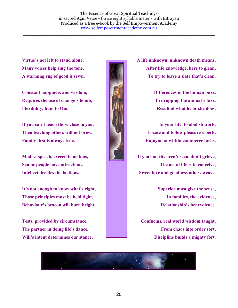**Virtue's not left to stand alone, Many voices help sing the tone, A warming rug of good is sewn.** 

**Constant happiness and wisdom, Requires the use of change's bomb, Flexibility, hum to Om.** 

**If you can't teach those close to you, Then teaching others will not brew, Family first is always true.** 

**Modest speech, exceed in actions, Senior people have attractions, Intellect decides the factions.** 

**It's not enough to know what's right, Those principles must be held tight, Behaviour's beacon will burn bright.** 

**Tests, provided by circumstance, The partner in doing life's dance, Will's intent determines our stance.** 



**A life unknown, unknown death means, After life knowledge, here to glean, To try to leave a slate that's clean.** 

> **Differences in the human buzz, In dropping the animal's fuzz, Result of what he or she does.**

**In your life, to abolish work, Locate and follow pleasure's perk, Enjoyment within commerce lurks.** 

**If your merits aren't seen, don't grieve, The art of life is to conceive, Sweet love and goodness others weave.** 

> **Superior must give the sense, In families, the evidence, Relationship's benevolence.**

**Confucius, real world wisdom taught, From chaos into order sort, Discipline builds a mighty fort.** 

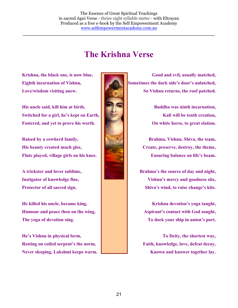## **The Krishna Verse**

**Krishna, the black one, is now blue, Eighth incarnation of Vishnu, Love/wisdom visiting anew.** 

**His uncle said, kill him at birth, Switched for a girl, he's kept on Earth, Fostered, and yet to prove his worth.** 

**Raised by a cowherd family, His beauty created much glee, Flute played, village girls on his knee.** 

**A trickster and lover sublime, Instigator of knowledge fine, Protector of all sacred sign.** 

**He killed his uncle, became king, Humour and peace then on the wing, The yoga of devotion sing.** 

**He's Vishnu in physical form, Resting on coiled serpent's the norm, Never sleeping, Lakshmi keeps warm.** 



**Good and evil, usually matched, Sometimes the dark side's door's unlatched, So Vishnu returns, the roof patched.** 

> **Buddha was ninth incarnation, Kali will be tenth creation, On white horse, to great elation.**

**Brahma, Vishnu, Shiva, the team, Create, preserve, destroy, the theme, Ensuring balance on life's beam.** 

**Brahma's the source of day and night, Vishnu's mercy and goodness site, Shiva's wind, to raise change's kite.** 

**Krishna devotion's yoga taught, Aspirant's contact with God sought, To dock your ship in union's port.** 

**To Deity, the shortest way, Faith, knowledge, love, defeat decay, Known and knower together lay.**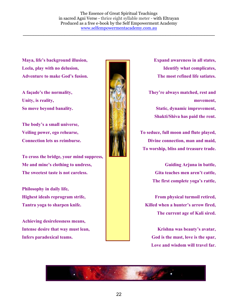\_\_\_\_\_\_\_\_\_\_\_\_\_\_\_\_\_\_\_\_\_\_\_\_\_\_\_\_\_\_\_\_\_\_\_\_\_\_\_\_\_\_\_\_\_\_\_\_\_\_\_\_\_\_\_\_\_\_\_\_\_\_\_\_\_\_\_\_\_\_\_\_\_\_

**Maya, life's background illusion, Leela, play with no delusion, Adventure to make God's fusion.** 

**A façade's the normality, Unity, is reality, So move beyond banality.** 

**The body's a small universe, Veiling power, ego rehearse, Connection lets us reimburse.** 

**To cross the bridge, your mind suppress, Me and mine's clothing to undress, The sweetest taste is not careless.** 

**Philosophy in daily life, Highest ideals reprogram strife, Tantra yoga to sharpen knife.** 

**Achieving desirelessness means, Intense desire that way must lean, Infers paradoxical teams.** 



**Expand awareness in all states, Identify what complicates, The most refined life satiates.** 

**They're always matched, rest and movement, Static, dynamic improvement, Shakti/Shiva has paid the rent.** 

**To seduce, full moon and flute played, Divine connection, man and maid, To worship, bliss and treasure trade.** 

> **Guiding Arjuna in battle, Gita teaches men aren't cattle, The first complete yoga's rattle,**

**From physical turmoil retired, Killed when a hunter's arrow fired, The current age of Kali sired.** 

**Krishna was beauty's avatar, God is the mast, love is the spar, Love and wisdom will travel far.** 

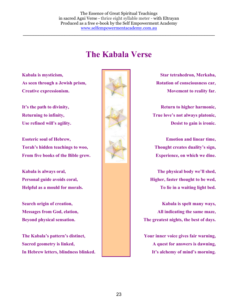## **The Kabala Verse**

**Kabala is mysticism, As seen through a Jewish prism, Creative expressionism.** 

**It's the path to divinity, Returning to infinity, Use refined will's agility.** 

**Esoteric soul of Hebrew, Torah's hidden teachings to woo, From five books of the Bible grew.** 

**Kabala is always oral, Personal guide avoids coral, Helpful as a mould for morals.** 

**Search origin of creation, Messages from God, elation, Beyond physical sensation.** 

**The Kabala's pattern's distinct, Sacred geometry is linked, In Hebrew letters, blindness blinked.** 



**Star tetrahedron, Merkaba, Rotation of consciousness car, Movement to reality far.** 

**Return to higher harmonic, True love's not always platonic, Desist to gain is ironic.** 

**Emotion and linear time, Thought creates duality's sign, Experience, on which we dine.** 

**The physical body we'll shed, Higher, faster thought to be wed, To lie in a waiting light bed.** 

**Kabala is spelt many ways, All indicating the same maze, The greatest nights, the best of days.** 

**Your inner voice gives fair warning, A quest for answers is dawning, It's alchemy of mind's morning.**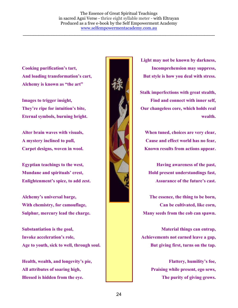\_\_\_\_\_\_\_\_\_\_\_\_\_\_\_\_\_\_\_\_\_\_\_\_\_\_\_\_\_\_\_\_\_\_\_\_\_\_\_\_\_\_\_\_\_\_\_\_\_\_\_\_\_\_\_\_\_\_\_\_\_\_\_\_\_\_\_\_\_\_\_\_\_\_

**Cooking purification's tart, And loading transformation's cart, Alchemy is known as "the art"** 

**Images to trigger insight, They're ripe for intuition's bite, Eternal symbols, burning bright.** 

**Alter brain waves with visuals, A mystery inclined to pull, Carpet designs, woven in wool.** 

**Egyptian teachings to the west, Mundane and spirituals' crest, Enlightenment's spice, to add zest.** 

**Alchemy's universal barge, With chemistry, for camouflage, Sulphur, mercury lead the charge.** 

**Substantiation is the goal, Invoke acceleration's role, Age to youth, sick to well, through soul.** 

**Health, wealth, and longevity's pie, All attributes of soaring high, Blessed is hidden from the eye.** 



**Light may not be known by darkness, Incomprehension may suppress, But style is how you deal with stress.** 

**Stalk imperfections with great stealth, Find and connect with inner self, Our changeless core, which holds real wealth.** 

**When tuned, choices are very clear, Cause and effect world has no fear, Known results from actions appear.** 

**Having awareness of the past, Hold present understandings fast, Assurance of the future's cast.** 

**The essence, the thing to be born, Can be cultivated, like corn, Many seeds from the cob can spawn.** 

**Material things can entrap, Achievements not earned leave a gap, But giving first, turns on the tap.** 

> **Flattery, humility's foe, Praising while present, ego sews, The purity of giving grows.**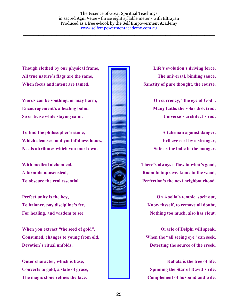**Though clothed by our physical frame, All true nature's flags are the same, When focus and intent are tamed.** 

**Words can be soothing, or may harm, Encouragement's a healing balm, So criticise while staying calm.** 

**To find the philosopher's stone, Which cleanses, and youthfulness hones, Needs attributes which you must own.** 

**With medical alchemical, A formula nonsensical, To obscure the real essential.** 

**Perfect unity is the key, To balance, pay discipline's fee, For healing, and wisdom to see.** 

**When you extract "the seed of gold", Consumed, changes to young from old, Devotion's ritual unfolds.** 

**Outer character, which is base, Converts to gold, a state of grace, The magic stone refines the face.** 



**Life's evolution's driving force, The universal, binding sauce, Sanctity of pure thought, the course.** 

> **On currency, "the eye of God", Many faiths the solar disk trod, Universe's architect's rod.**

**A talisman against danger, Evil eye cast by a stranger, Safe as the babe in the manger.** 

 **There's always a flaw in what's good, Room to improve, knots in the wood, Perfection's the next neighbourhood.** 

**On Apollo's temple, spelt out, Know thyself, to remove all doubt, Nothing too much, also has clout.** 

**Oracle of Delphi will speak, When the "all seeing eye" can seek, Detecting the source of the creek.** 

**Kabala is the tree of life, Spinning the Star of David's rife, Complement of husband and wife.**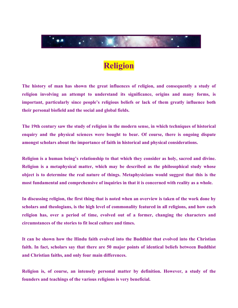



**The history of man has shown the great influences of religion, and consequently a study of religion involving an attempt to understand its significance, origins and many forms, is important, particularly since people's religious beliefs or lack of them greatly influence both their personal biofield and the social and global fields.** 

**The 19th century saw the study of religion in the modern sense, in which techniques of historical enquiry and the physical sciences were bought to bear. Of course, there is ongoing dispute amongst scholars about the importance of faith in historical and physical considerations.** 

**Religion is a human being's relationship to that which they consider as holy, sacred and divine. Religion is a metaphysical matter, which may be described as the philosophical study whose object is to determine the real nature of things. Metaphysicians would suggest that this is the most fundamental and comprehensive of inquiries in that it is concerned with reality as a whole.** 

**In discussing religion, the first thing that is noted when an overview is taken of the work done by scholars and theologians, is the high level of commonality featured in all religions, and how each religion has, over a period of time, evolved out of a former, changing the characters and circumstances of the stories to fit local culture and times.** 

**It can be shown how the Hindu faith evolved into the Buddhist that evolved into the Christian faith. In fact, scholars say that there are 50 major points of identical beliefs between Buddhist and Christian faiths, and only four main differences.** 

**Religion is, of course, an intensely personal matter by definition. However, a study of the founders and teachings of the various religions is very beneficial.**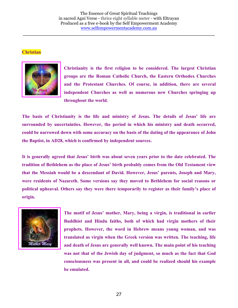#### **Christian**



**Christianity is the first religion to be considered. The largest Christian groups are the Roman Catholic Church, the Eastern Orthodox Churches and the Protestant Churches. Of course, in addition, there are several independent Churches as well as numerous new Churches springing up throughout the world.** 

**The basis of Christianity is the life and ministry of Jesus. The details of Jesus' life are surrounded by uncertainties. However, the period in which his ministry and death occurred, could be narrowed down with some accuracy on the basis of the dating of the appearance of John the Baptist, in AD28, which is confirmed by independent sources.** 

**It is generally agreed that Jesus' birth was about seven years prior to the date celebrated. The tradition of Bethlehem as the place of Jesus' birth probably comes from the Old Testament view that the Messiah would be a descendant of David. However, Jesus' parents, Joseph and Mary, were residents of Nazareth. Some versions say they moved to Bethlehem for social reasons or political upheaval. Others say they were there temporarily to register as their family's place of origin.** 



**The motif of Jesus' mother, Mary, being a virgin, is traditional in earlier Buddhist and Hindu faiths, both of which had virgin mothers of their prophets. However, the word in Hebrew means young woman, and was translated as virgin when the Greek version was written. The teaching, life and death of Jesus are generally well known. The main point of his teaching was not that of the Jewish day of judgment, so much as the fact that God consciousness was present in all, and could be realized should his example be emulated.**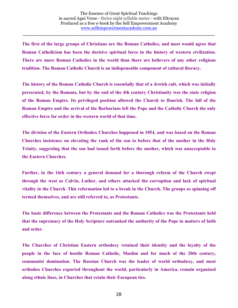**The first of the large groups of Christians are the Roman Catholics, and most would agree that Roman Catholicism has been the decisive spiritual force in the history of western civilization. There are more Roman Catholics in the world than there are believers of any other religious tradition. The Roman Catholic Church is an indispensable component of cultural literacy.** 

**The history of the Roman Catholic Church is essentially that of a Jewish cult, which was initially persecuted, by the Romans, but by the end of the 4th century Christianity was the state religion of the Roman Empire. Its privileged position allowed the Church to flourish. The fall of the Roman Empire and the arrival of the Barbarians left the Pope and the Catholic Church the only effective force for order in the western world of that time.** 

**The division of the Eastern Orthodox Churches happened in 1054, and was based on the Roman Churches insistence on elevating the rank of the son to before that of the mother in the Holy Trinity, suggesting that the son had issued forth before the mother, which was unacceptable to the Eastern Churches.** 

**Further, in the 16th century a general demand for a thorough reform of the Church swept through the west as Calvin, Luther, and others attacked the corruption and lack of spiritual vitality in the Church. This reformation led to a break in the Church. The groups so spinning off termed themselves, and are still referred to, as Protestants.** 

**The basic difference between the Protestants and the Roman Catholics was the Protestants held that the supremacy of the Holy Scripture outranked the authority of the Pope in matters of faith and order.** 

**The Churches of Christian Eastern orthodoxy retained their identity and the loyalty of the people in the face of hostile Roman Catholic, Muslim and for much of the 20th century, communist domination. The Russian Church was the leader of world orthodoxy, and most orthodox Churches exported throughout the world, particularly in America, remain organized along ethnic lines, in Churches that retain their European ties.**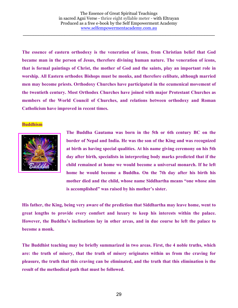**The essence of eastern orthodoxy is the veneration of icons, from Christian belief that God became man in the person of Jesus, therefore divining human nature. The veneration of icons, that is formal paintings of Christ, the mother of God and the saints, play an important role in worship. All Eastern orthodox Bishops must be monks, and therefore celibate, although married men may become priests. Orthodoxy Churches have participated in the ecumenical movement of the twentieth century. Most Orthodox Churches have joined with major Protestant Churches as members of the World Council of Churches, and relations between orthodoxy and Roman Catholicism have improved in recent times.** 

#### **Buddhism**



**The Buddha Gautama was born in the 5th or 6th century BC on the border of Nepal and India. He was the son of the King and was recognized at birth as having special qualities. At his name giving ceremony on his 5th day after birth, specialists in interpreting body marks predicted that if the child remained at home we would become a universal monarch. If he left home he would become a Buddha. On the 7th day after his birth his mother died and the child, whose name Siddhartha means "one whose aim is accomplished" was raised by his mother's sister.** 

**His father, the King, being very aware of the prediction that Siddhartha may leave home, went to great lengths to provide every comfort and luxury to keep his interests within the palace. However, the Buddha's inclinations lay in other areas, and in due course he left the palace to become a monk.** 

**The Buddhist teaching may be briefly summarized in two areas. First, the 4 noble truths, which are: the truth of misery, that the truth of misery originates within us from the craving for pleasure, the truth that this craving can be eliminated, and the truth that this elimination is the result of the methodical path that must be followed.**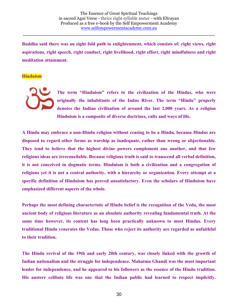**Buddha said there was an eight fold path to enlightenment, which consists of: right views, right aspirations, right speech, right conduct, right livelihood, right effort, right mindfulness and right meditation attainment.** 

#### **Hinduism**

**The term "Hinduism" refers to the civilization of the Hindus, who were originally the inhabitants of the Indus River. The term "Hindu" properly denotes the Indian civilisation of around the last 2,000 years. As a religion Hinduism is a composite of diverse doctrines, cults and ways of life.** 

**A Hindu may embrace a non-Hindu religion without ceasing to be a Hindu, because Hindus are disposed to regard other forms as worship as inadequate, rather than wrong or objectionable. They tend to believe that the highest divine powers complement one another, and that few religious ideas are irreconcilable. Because religious truth is said to transcend all verbal definition, it is not conceived in dogmatic terms. Hinduism is both a civilization and a congregation of religions yet it is not a central authority, with a hierarchy or organization. Every attempt at a specific definition of Hinduism has proved unsatisfactory. Even the scholars of Hinduism have emphasized different aspects of the whole.** 

**Perhaps the most defining characteristic of Hindu belief is the recognition of the Veda, the most ancient body of religious literature as an absolute authority revealing fundamental truth. At the same time however, its content has long been practically unknown to most Hindus. Every traditional Hindu venerates the Vedas. Those who reject its authority are regarded as unfaithful to their tradition.** 

**The Hindu revival of the 19th and early 20th century, was closely linked with the growth of Indian nationalism and the struggle for independence. Mahatma Ghandi was the most important leader for independence, and he appeared to his followers as the essence of the Hindu tradition. His austere celibate life was one that the Indian public had learned to respect implicitly.**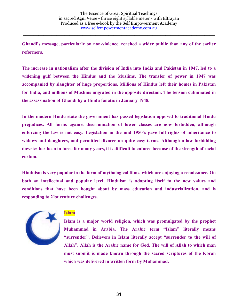**Ghandi's message, particularly on non-violence, reached a wider public than any of the earlier reformers.** 

**The increase in nationalism after the division of India into India and Pakistan in 1947, led to a widening gulf between the Hindus and the Muslims. The transfer of power in 1947 was accompanied by slaughter of huge proportions. Millions of Hindus left their homes in Pakistan for India, and millions of Muslims migrated in the opposite direction. The tension culminated in the assassination of Ghandi by a Hindu fanatic in January 1948.** 

**In the modern Hindu state the government has passed legislation opposed to traditional Hindu prejudices. All forms against discrimination of lower classes are now forbidden, although enforcing the law is not easy. Legislation in the mid 1950's gave full rights of inheritance to widows and daughters, and permitted divorce on quite easy terms. Although a law forbidding dowries has been in force for many years, it is difficult to enforce because of the strength of social custom.** 

**Hinduism is very popular in the form of mythological films, which are enjoying a renaissance. On both an intellectual and popular level, Hinduism is adapting itself to the new values and conditions that have been bought about by mass education and industrialization, and is responding to 21st century challenges.** 



#### **Islam**

**Islam is a major world religion, which was promulgated by the prophet Muhammad in Arabia. The Arabic term "Islam" literally means "surrender". Believers in Islam literally accept "surrender to the will of Allah". Allah is the Arabic name for God. The will of Allah to which man must submit is made known through the sacred scriptures of the Koran which was delivered in written form by Muhammad.**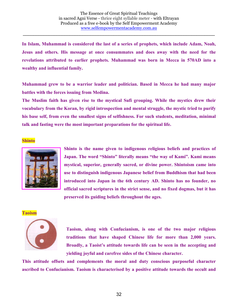**In Islam, Muhammad is considered the last of a series of prophets, which include Adam, Noah, Jesus and others. His message at once consummates and does away with the need for the revelations attributed to earlier prophets. Muhammad was born in Mecca in 570AD into a wealthy and influential family.** 

**Muhammad grew to be a warrior leader and politician. Based in Mecca he had many major battles with the forces issuing from Medina.** 

**The Muslim faith has given rise to the mystical Sufi grouping. While the mystics drew their vocabulary from the Koran, by rigid introspection and mental struggle, the mystic tried to purify his base self, from even the smallest signs of selfishness. For such students, meditation, minimal talk and fasting were the most important preparations for the spiritual life.** 

**Shinto** 



**Shinto is the name given to indigenous religious beliefs and practices of Japan. The word "Shinto" literally means "the way of Kami". Kami means mystical, superior, generally sacred, or divine power. Shintoism came into use to distinguish indigenous Japanese belief from Buddhism that had been introduced into Japan in the 6th century AD. Shinto has no founder, no official sacred scriptures in the strict sense, and no fixed dogmas, but it has preserved its guiding beliefs throughout the ages.** 

**Taoism** 



**Taoism, along with Confucianism, is one of the two major religious traditions that have shaped Chinese life for more than 2,000 years. Broadly, a Taoist's attitude towards life can be seen in the accepting and yielding joyful and carefree sides of the Chinese character.** 

**This attitude offsets and complements the moral and duty conscious purposeful character ascribed to Confucianism. Taoism is characterised by a positive attitude towards the occult and**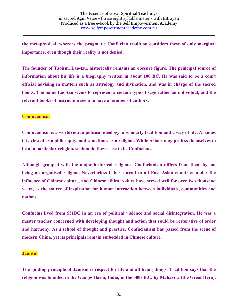**the metaphysical, whereas the pragmatic Confucian tradition considers these of only marginal importance, even though their reality is not denied.** 

**The founder of Taoism, Lao-tzu, historically remains an obscure figure. The principal source of information about his life is a biography written in about 100 BC. He was said to be a court official advising in matters such as astrology and divination, and was in charge of the sacred books. The name Lao-tzu seems to represent a certain type of sage rather an individual, and the relevant books of instruction seem to have a number of authors.** 

#### **Confucianism**

**Confucianism is a worldview, a political ideology, a scholarly tradition and a way of life. At times it is viewed as a philosophy, and sometimes as a religion. While Asians may profess themselves to be of a particular religion, seldom do they cease to be Confucians.** 

**Although grouped with the major historical religions, Confucianism differs from them by not being an organised religion. Nevertheless it has spread to all East Asian countries under the influence of Chinese culture, and Chinese ethical values have served well for over two thousand years, as the source of inspiration for human interaction between individuals, communities and nations.** 

**Confucius lived from 551BC in an era of political violence and social disintegration. He was a master teacher concerned with developing thought and action that could be restorative of order and harmony. As a school of thought and practice, Confucianism has passed from the scene of modern China, yet its principals remain embedded in Chinese culture.** 

#### **Jainism**

**The guiding principle of Jainism is respect for life and all living things. Tradition says that the religion was founded in the Ganges Basin, India, in the 500s B.C. by Mahavira (the Great Hero).**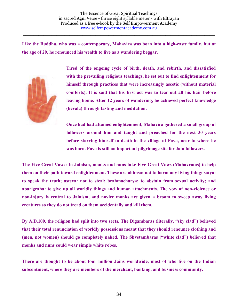**Like the Buddha, who was a contemporary, Mahavira was born into a high-caste family, but at the age of 29, he renounced his wealth to live as a wandering beggar.** 



**Tired of the ongoing cycle of birth, death, and rebirth, and dissatisfied with the prevailing religious teachings, he set out to find enlightenment for himself through practices that were increasingly ascetic (without material comforts). It is said that his first act was to tear out all his hair before leaving home. After 12 years of wandering, he achieved perfect knowledge (kevala) through fasting and meditation.** 

**Once had had attained enlightenment, Mahavira gathered a small group of followers around him and taught and preached for the next 30 years before starving himself to death in the village of Pava, near to where he was born. Pava is still an important pilgrimage site for Jain followers.** 

**The Five Great Vows: In Jainism, monks and nuns take Five Great Vows (Mahavratas) to help them on their path toward enlightenment. These are ahimsa: not to harm any living thing; satya: to speak the truth; asteya: not to steal; brahmacharya: to abstain from sexual activity; and aparigraha: to give up all worldly things and human attachments. The vow of non-violence or non-injury is central to Jainism, and novice monks are given a broom to sweep away living creatures so they do not tread on them accidentally and kill them.** 

**By A.D.100, the religion had split into two sects. The Digambaras (literally, "sky clad") believed that their total renunciation of worldly possessions meant that they should renounce clothing and (men, not women) should go completely naked. The Shvetambaras ("white clad") believed that monks and nuns could wear simple white robes.** 

**There are thought to be about four million Jains worldwide, most of who live on the Indian subcontinent, where they are members of the merchant, banking, and business community.**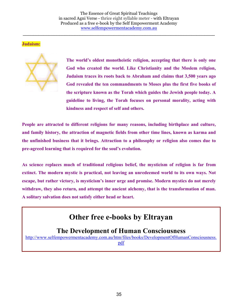#### **Judaism:**



**The world's oldest monotheistic religion, accepting that there is only one God who created the world. Like Christianity and the Moslem religion, Judaism traces its roots back to Abraham and claims that 3,500 years ago God revealed the ten commandments to Moses plus the first five books of the scripture known as the Torah which guides the Jewish people today. A guideline to living, the Torah focuses on personal morality, acting with kindness and respect of self and others.** 

**People are attracted to different religions for many reasons, including birthplace and culture, and family history, the attraction of magnetic fields from other time lines, known as karma and the unfinished business that it brings. Attraction to a philosophy or religion also comes due to pre-agreed learning that is required for the soul's evolution.** 

**As science replaces much of traditional religious belief, the mysticism of religion is far from extinct. The modern mystic is practical, not leaving an unredeemed world to its own ways. Not escape, but rather victory, is mysticism's inner urge and promise. Modern mystics do not merely withdraw, they also return, and attempt the ancient alchemy, that is the transformation of man. A solitary salvation does not satisfy either head or heart.** 

### **Other free e-books by Eltrayan**

### **The Development of Human Consciousness**

http://www.selfempowermentacademy.com.au/htm/files/books/DevelopmentOfHumanConsciousness. pdf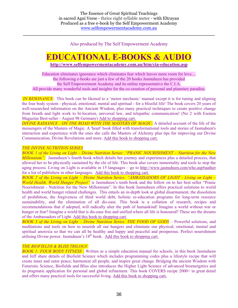Also produced by The Self Empowerment Academy

## **EDUCATIONAL E-BOOKS & AUDIO**

**http://www.selfempowermentacademy.com.au/htm/cia-education.asp**

Education eliminates ignorance which eliminates fear which leaves more room for love.... the following e-books are just a few of the 20 books Jasmuheen has provided the Self Empowerment Academy and its online representative the C.I.A. All provide many wonderful tools and insights for the co-creation of personal and planetary paradise.

*IN RESONANCE*: This book can be likened to a 'motor mechanic' manual except it is for tuning and aligning the four body system - physical, emotional, mental and spiritual - for a blissful life! The book covers 20 years of well-researched information on the Ancient Wisdom, plus many practical techniques to create positive change from breath and light work to bi-location, universal law, and telepathic communication! (No 2 with Esotera Magazine Best-seller - August 98 Germany) Add to shopping cart.

*DIVINE RADIANCE : ON THE ROAD WITH THE MASTERS OF MAGIC:* A detailed account of the life of the messengers of the Masters of Magic. A 'heart' book filled with transformational tools and stories of Jasmuheen's interaction and experience with the ones she calls the Masters of Alchemy plus tips for improving our Divine Communication, Divine Revelations and more. Add this book to shopping cart.

#### *THE DIVINE NUTRITION SERIES*

*BOOK 1 of the Living on Light – Divine Nutrition Series: "PRANIC NOURISHMENT – Nutrition for the New Millennium"*: Jasmuheen's fourth book which details her journey and experiences plus a detailed process, that allowed her to be physically sustained by the chi of life. This book also covers immortality and tools to stop the aging process. Living on Light is available in 15 languages – go to http://www.jasmuheen.com/who.asp#author for a list of publishers in other languages. Add this book to shopping cart.

*BOOK 2 of the Living on Light – Divine Nutrition Series: "AMBASSADORS OF LIGHT - Living on Light – World Health, World Hunger Project"* is Jasmuheen's tenth book and the follow on to her best seller "Pranic Nourishment - Nutrition for the New Millennium". In this book Jasmuheen offers practical solutions to world health and world hunger related challenges. This entails an in-depth look at global disarmament, the dissolution of prohibition, the forgiveness of third world debt, holistic re-education programs for long-term resource sustainability, and the elimination of all dis-ease. This book is a collation of research, recipes and recommendations that if adopted, will radically alter the path of humankind! Imagine a world without war or hunger or fear? Imagine a world that is dis-ease free and unified where all life is honoured? These are the dreams of the Ambassadors of Light. Add this book to shopping cart.

*BOOK 3 of the Living on Light – Divine Nutrition Series: THE FOOD OF GODS* – Powerful solutions, and meditations and tools on how to nourish all our hungers and eliminate our physical, emotional, mental and spiritual anorexia so that we can all be healthy and happy and peaceful and prosperous. Perfect nourishment utilising Divine power. Jasmuheen's  $18<sup>th</sup>$  book. Add this book to shopping cart.

#### *THE BIOFIELDS & BLISS TRILOGY:*

*BOOK 1: FOUR BODY FITNESS* : Written as a simple education manual for schools, in this book Jasmuheen and Jeff share details of Biofield Science which includes programming codes plus a lifestyle recipe that will create inner and outer peace; harmonize all people, and inspire great change. Bridging the ancient Wisdom with Futuristic Science, Biofields and Bliss also introduces the Higher Light Science of advanced bioenergetics and its pragmatic application for personal and global refinement. This book COVERS recipe 2000> in great detail and offers many practical tools for successful living. Add this book to shopping cart.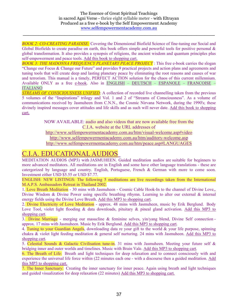*BOOK 2: CO-CREATING PARADISE:* Covering the Dimensional Biofield Science of fine-tuning our Social and Global Biofields to create paradise on earth, this book offers simple and powerful tools for positive personal  $\&$ global transformation. It also provides a synopsis of religions, the ancient wisdom and quantum principles plus self-empowerment and peace tools. Add this book to shopping cart.

*BOOK 3: THE MADONNA FREQUENCY PLANETARY PEACE PROJECT* : This free e-book carries the slogan "Change our Focus & Change our Future" and provides 9 practical projects and action plans and agreements and tuning tools that will create deep and lasting planetary peace by eliminating the root reasons and causes of war and terrorism. This manual is a timely, PERFECT ACTION solution for the chaos of this current millennium. Available ONLY as a free e-book. Also in ENGLISH – DEUTSCH – ESPANOLE – FRANCOISE – ITALIANO

*STREAMS OF CONSCIOUSNESS UNIFIED*: A collection of recorded live channelling taken from the previous 5 volumes of the "Inspirations" trilogy and Vol. 1 and 2 of "Streams of Consciousness". As a volume of communications received by Jasmuheen from C.N.N., the Cosmic Nirvana Network, during the 1990's; these divinely inspired messages cover attitudes and life skills and as such will never date. Add this book to shopping cart.

> NOW AVAILABLE: audio and also videos that are now available free from the C.I.A. website at the URL addresses of

http://www.selfempowermentacademy.com.au/htm/visual-welcome.asp#video http://www.selfempowermentacademy.com.au/htm/auditory-welcome.asp http://www.selfempowermentacademy.com.au/htm/peace.asp#LANGUAGES

### C.I.A. EDUCATIONAL AUDIOS

MEDITATION AUDIOS (MP3) with JASMUHEEN. Guided meditation audios are suitable for beginners to more advanced meditators. All meditations are in English and some have other language translations - these are catergorized by language and country. English, Portuguese, French & German with more to come soon. Investment either USD \$5.55 or USD \$7.77.

ENGLISH: NEW LISTINGS: The following 5 meditations are live recordings taken from the International M.A.P.S. Ambassadors Retreat in Thailand 2002.

1. Love Breath Meditation - 30 mins with Jasmuheen - Cosmic Cable Hook-In to the channel of Divine Love,, Divine Wisdom & Divine Power using specific breathing rthymn. Learning to alter our external & internal energy fields using the Divine Love Breath. Add this MP3 to shopping cart.

2. Divine Electricity of Love Meditation - approx. 48 mins with Jasmuheen, music by Erik Berglund. Body Love Tool, violet light flooding & data downloads, pituitary & pineal gland activation. Add this MP3 to shopping cart.

3. Divine Marriage - merging our masucline & feminine selves, yin/yang blend, Divine Self connection approx. 17 mins with Jasmuheen. Music by Erik Berglund. Add this MP3 to shopping cart.

4. Tuning to your Guardian Angels, downloading data re your gift to the world & your life purpose, spinning chakra & violet light feeding meditation & general self nurturing. 24 mins with Jasmuheen. Add this MP3 to shopping cart.

5. Celestial Sounds & Galactic Civilisation tune-in. 31 mins with Jasmuheen. Meeting your future self & bridging inner and outer worlds and timelines. Music with Brain Vale. Add this MP3 to shopping cart.

6. The Breath of Life: Breath and light techniques for deep relaxation and to connect consciously with and experience the universal life force within (22 minutes each one - with a discourse then a guided meditation. Add this MP3 to shopping cart.

7. The Inner Sanctuary: Creating the inner sanctuary for inner peace. Again using breath and light techniques and guided visualization for deep relaxation (22 minutes) Add this MP3 to shopping cart.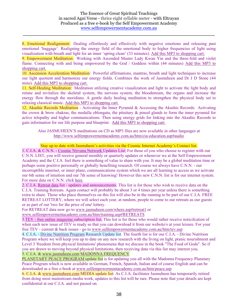8. Emotional Realignment: Dealing effortlessly and effectively with negative emotions and releasing past emotional 'baggage'. Realigning the energy field of the emotional body to higher frequencies of light using visualization with breath and light for an inner 'spring clean' (33 minutes). Add this MP3 to shopping cart.

9. Empowerment Meditation: Working with Ascended Master Lady Kwan Yin and the three-fold and violet flame. Connecting with and being empowered by the God / Goddess within (44 minutes) Add this MP3 to shopping cart.

10. Ascension Acceleration Meditation: Powerful affirmations, mantras, breath and light techniques to increase our light quotient and harmonize our energy fields. Combines the work of Jasmuheen and Dr J D Stone (44 mins). Add this MP3 to shopping cart.

11. Self-Healing Meditation: Meditation utilizing creative visualization and light to activate the light body and retune and revitalize the skeletal system, the nervous system, the bloodstream, the organs and increase the energy flow through the meridians. A gentle daily healing meditation to strengthen the physical body set to relaxing classical music. Add this MP3 to shopping cart.

12. Akashic Records Meditation - Activating the Inner Pyramid & Accessing the Akashic Records: Activating the crown  $\&$  brow chakras, the medulla oblongata, the pituitary  $\&$  pineal glands to form the inner pyramid for active telepathy and higher communications. Then using energy grids for linking into the Akashic Records to gain information for our life purpose and blueprint. Add this MP3 to shopping cart.

Also JASMUHEEN'S meditations on CD as MP3 files are now available in other languages at http://www.selfempowermentacademy.com.au/htm/cia-education.asp#audio

#### Stay up to date with Jasmuheen's activities via the Cosmic Internet Academy's Contact list.

1. C.I.A. & C.N.N. - Cosmic Nirvana Network Updates List: For those of you who choose to register with our C.N.N. LIST, you will receive general monthly or quarterly updates or whenever we at the Self Empowerment Academy and the C.I.A. feel there is something of value to share with you. It may be a global meditation time or perhaps some positive personally or globally benefiting research. Of course we always have C.N.N. - our incorruptible innernet, or inner plane, communications system which we are all learning to access as we activate our 6th sense of intuition and our 7th sense of knowing! However this new C.N.N. list is for our internet system. For more data on C.N.N. click here.

2. C.I.A. Retreat data list - updates and announcements. This list is for those who wish to receive data on the C.I.A. Training Retreats. Again contact will probably be about 3 or 4 times per year unless there is something extra to share. Those who place themselves on this list will also be in the running to be part of our C.I.A. FREE RETREAT LOTTERY, where we will select each year, at random, people to come to our retreats as our guests or as part of our 'two for the price of one' lottery.

For RETREAT data now go to www.jasmuheen.com/where.asp#retreat1 or

www.selfempowermentacademy.com.au/htm/training.asp#RETREATS

3.TEV - free online magazine subscription list. This list is for those who would rather receive noticifcation of when each new issue of TEV is ready so that you can download it from our website/s at your leisure. For your free TEV - current & back issues - go to www.selfempowermentacademy.com.au/htm/tev.asp

4. C.I.A. - Divine Nutrition Program Research Update list. The fourth list is for our C.I.A. - Divine Nutrition Program where we will keep you up to date on any new research with the living on light, pranic nourishment and Level 3 'freedom from physical limitations' phenomena that we discuss in the book "The Food of Gods". So if you are drawn to moving beyond physical limitations, then receiving data via this list may interest you. 5. C.I.A. & www.jasmuheen.com MADONNA FREQUENCY

PLANETARY PEACE PROGRAM update list is for updating you all with the Madonna Frequency Planetary Peace Program which is now available in German, French, Spanish, Italian and of course English and can be downloaded as a free e-book at www.selfempowermentacademy.com.au/htm/peace.asp

6. C.I.A. & www.jasmuheen.com MEDIA update list: As C.I.A. facilitator Jasmuheen has temporarily retired from doing most mainstream media work, updates to this list will be rare. Please note that your details are kept confidential at our C.I.A. and not passed on.